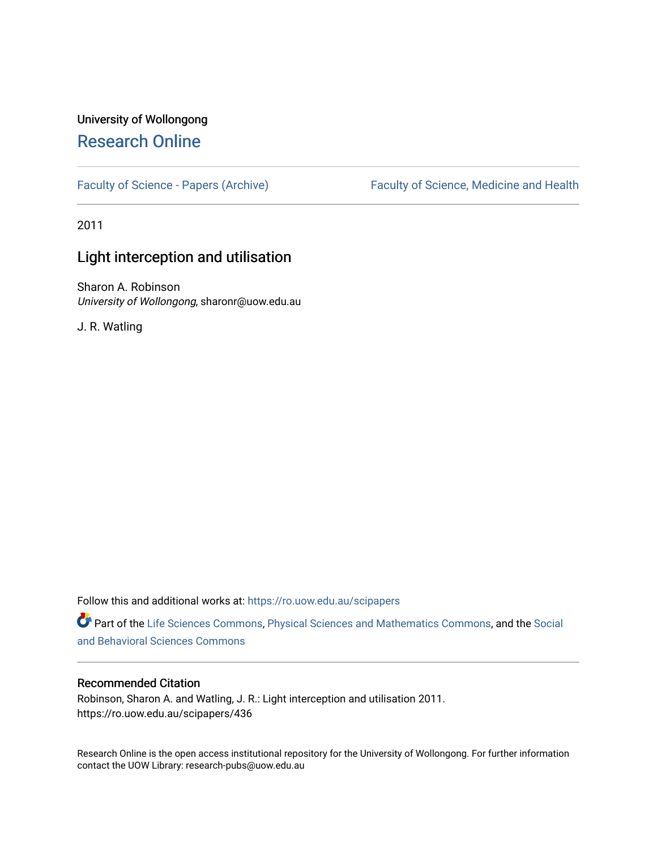# University of Wollongong [Research Online](https://ro.uow.edu.au/)

[Faculty of Science - Papers \(Archive\)](https://ro.uow.edu.au/scipapers) Faculty of Science, Medicine and Health

2011

### Light interception and utilisation

Sharon A. Robinson University of Wollongong, sharonr@uow.edu.au

J. R. Watling

Follow this and additional works at: [https://ro.uow.edu.au/scipapers](https://ro.uow.edu.au/scipapers?utm_source=ro.uow.edu.au%2Fscipapers%2F436&utm_medium=PDF&utm_campaign=PDFCoverPages)

Part of the [Life Sciences Commons,](http://network.bepress.com/hgg/discipline/1016?utm_source=ro.uow.edu.au%2Fscipapers%2F436&utm_medium=PDF&utm_campaign=PDFCoverPages) [Physical Sciences and Mathematics Commons,](http://network.bepress.com/hgg/discipline/114?utm_source=ro.uow.edu.au%2Fscipapers%2F436&utm_medium=PDF&utm_campaign=PDFCoverPages) and the [Social](http://network.bepress.com/hgg/discipline/316?utm_source=ro.uow.edu.au%2Fscipapers%2F436&utm_medium=PDF&utm_campaign=PDFCoverPages)  [and Behavioral Sciences Commons](http://network.bepress.com/hgg/discipline/316?utm_source=ro.uow.edu.au%2Fscipapers%2F436&utm_medium=PDF&utm_campaign=PDFCoverPages) 

#### Recommended Citation

Robinson, Sharon A. and Watling, J. R.: Light interception and utilisation 2011. https://ro.uow.edu.au/scipapers/436

Research Online is the open access institutional repository for the University of Wollongong. For further information contact the UOW Library: research-pubs@uow.edu.au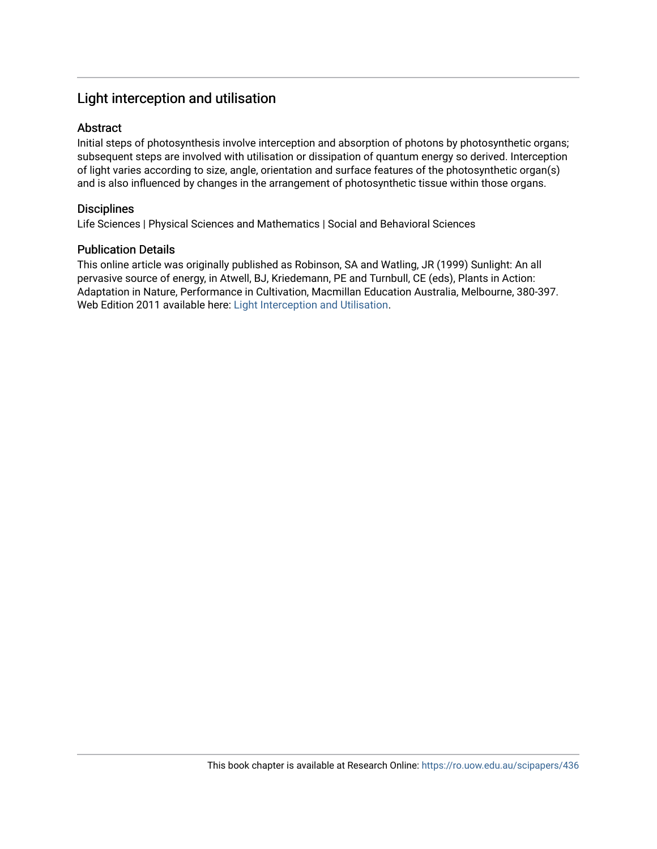### Light interception and utilisation

#### Abstract

Initial steps of photosynthesis involve interception and absorption of photons by photosynthetic organs; subsequent steps are involved with utilisation or dissipation of quantum energy so derived. Interception of light varies according to size, angle, orientation and surface features of the photosynthetic organ(s) and is also influenced by changes in the arrangement of photosynthetic tissue within those organs.

#### **Disciplines**

Life Sciences | Physical Sciences and Mathematics | Social and Behavioral Sciences

#### Publication Details

This online article was originally published as Robinson, SA and Watling, JR (1999) Sunlight: An all pervasive source of energy, in Atwell, BJ, Kriedemann, PE and Turnbull, CE (eds), Plants in Action: Adaptation in Nature, Performance in Cultivation, Macmillan Education Australia, Melbourne, 380-397. Web Edition 2011 available here: [Light Interception and Utilisation.](http://plantsinaction.science.uq.edu.au/edition1/?q=content/12-1-1-light-interception-and-utilisation)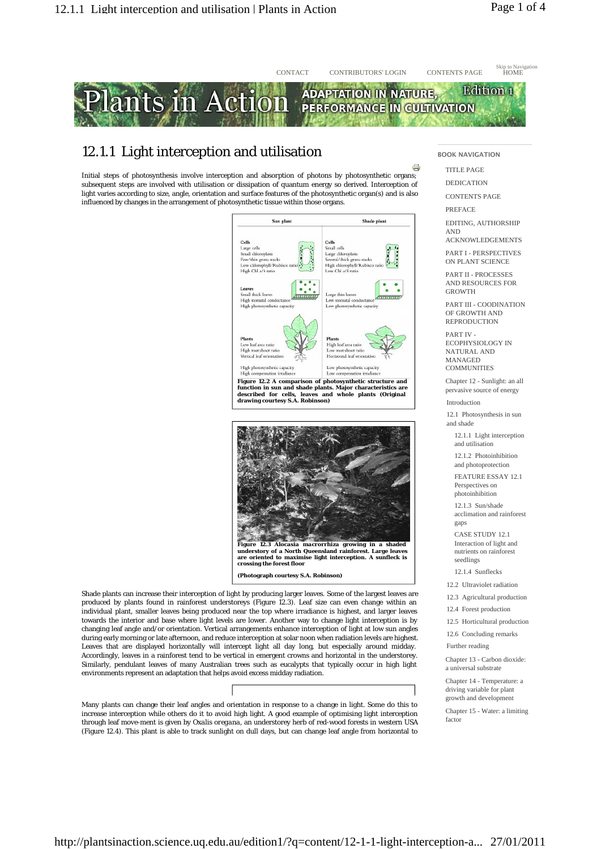

## 12.1.1 Light interception and utilisation

Initial steps of photosynthesis involve interception and absorption of photons by photosynthetic organs; subsequent steps are involved with utilisation or dissipation of quantum energy so derived. Interception of light varies according to size, angle, orientation and surface features of the photosynthetic organ(s) and is also influenced by changes in the arrangement of photosynthetic tissue within those organs.





Shade plants can increase their interception of light by producing larger leaves. Some of the largest leaves are produced by plants found in rainforest understoreys (Figure 12.3). Leaf size can even change within an individual plant, smaller leaves being produced near the top where irradiance is highest, and larger leaves towards the interior and base where light levels are lower. Another way to change light interception is by changing leaf angle and/or orientation. Vertical arrangements enhance interception of light at low sun angles during early morning or late afternoon, and reduce interception at solar noon when radiation levels are highest. Leaves that are displayed horizontally will intercept light all day long, but especially around midday. Accordingly, leaves in a rainforest tend to be vertical in emergent crowns and horizontal in the understorey. Similarly, pendulant leaves of many Australian trees such as eucalypts that typically occur in high light environments represent an adaptation that helps avoid excess midday radiation.

Many plants can change their leaf angles and orientation in response to a change in light. Some do this to increase interception while others do it to avoid high light. A good example of optimising light interception through leaf move-ment is given by *Oxalis oregana*, an understorey herb of red-wood forests in western USA (Figure 12.4). This plant is able to track sunlight on dull days, but can change leaf angle from horizontal to BOOK NAVIGATION

TITLE PAGE

 $\Rightarrow$ 

DEDICATION

CONTENTS PAGE

PREFACE

EDITING, AUTHORSHIP AND

ACKNOWLEDGEMENTS PART I - PERSPECTIVES

ON PLANT SCIENCE

PART II - PROCESSES AND RESOURCES FOR GROWTH

PART III - COODINATION OF GROWTH AND **REPRODUCTION** 

PART IV - ECOPHYSIOLOGY IN NATURAL AND MANAGED **COMMUNITIES** 

Chapter 12 - Sunlight: an all pervasive source of energy

Introduction

12.1 Photosynthesis in sun and shade

12.1.1 Light interception and utilisation

12.1.2 Photoinhibition and photoprotection

FEATURE ESSAY 12.1 Perspectives on photoinhibition

 $12.1.3$  Sun/shade acclimation and rainforest gaps

CASE STUDY 12.1 Interaction of light and nutrients on rainforest seedlings

12.1.4 Sunflecks

12.2 Ultraviolet radiation

12.3 Agricultural production

12.4 Forest production

12.5 Horticultural production

12.6 Concluding remarks

Further reading

Chapter 13 - Carbon dioxide: a universal substrate

Chapter 14 - Temperature: a driving variable for plant growth and development

Chapter 15 - Water: a limiting factor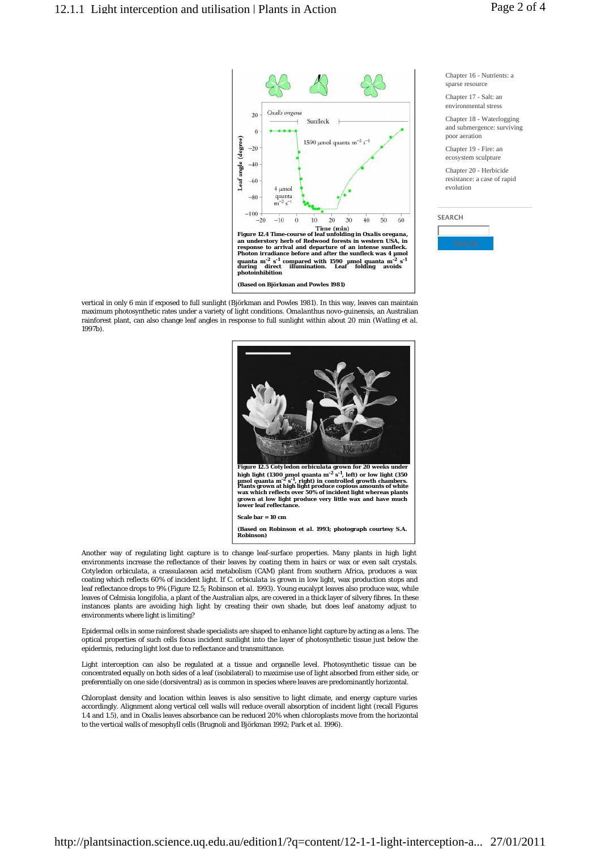

vertical in only 6 min if exposed to full sunlight (Björkman and Powles 1981). In this way, leaves can maintain maximum photosynthetic rates under a variety of light conditions. *Omalanthus novo-guinensis*, an Australian rainforest plant, can also change leaf angles in response to full sunlight within about 20 min (Watling *et al*. 1997b).



Another way of regulating light capture is to change leaf-surface properties. Many plants in high light environments increase the reflectance of their leaves by coating them in hairs or wax or even salt crystals. *Cotyledon orbiculata*, a crassulacean acid metabolism (CAM) plant from southern Africa, produces a wax coating which reflects 60% of incident light. If *C. orbiculata* is grown in low light, wax production stops and leaf reflectance drops to 9% (Figure 12.5; Robinson *et al*. 1993). Young eucalypt leaves also produce wax, while leaves of *Celmisia longifolia*, a plant of the Australian alps, are covered in a thick layer of silvery fibres. In these instances plants are avoiding high light by creating their own shade, but does leaf anatomy adjust to environments where light is limiting?

Epidermal cells in some rainforest shade specialists are shaped to enhance light capture by acting as a lens. The optical properties of such cells focus incident sunlight into the layer of photosynthetic tissue just below the epidermis, reducing light lost due to reflectance and transmittance.

Light interception can also be regulated at a tissue and organelle level. Photosynthetic tissue can be concentrated equally on both sides of a leaf (isobilateral) to maximise use of light absorbed from either side, or preferentially on one side (dorsiventral) as is common in species where leaves are predominantly horizontal.

Chloroplast density and location within leaves is also sensitive to light climate, and energy capture varies accordingly. Alignment along vertical cell walls will reduce overall absorption of incident light (recall Figures 1.4 and 1.5), and in *Oxalis* leaves absorbance can be reduced 20% when chloroplasts move from the horizontal to the vertical walls of mesophyll cells (Brugnoli and Björkman 1992; Park *et al*. 1996).

Chapter 16 - Nutrients: a sparse resource

Chapter 17 - Salt: an environmental stress

Chapter 18 - Waterlogging and submergence: surviving poor aeration

Chapter 19 - Fire: an ecosystem sculpture

Chapter 20 - Herbicide resistance: a case of rapid evolution

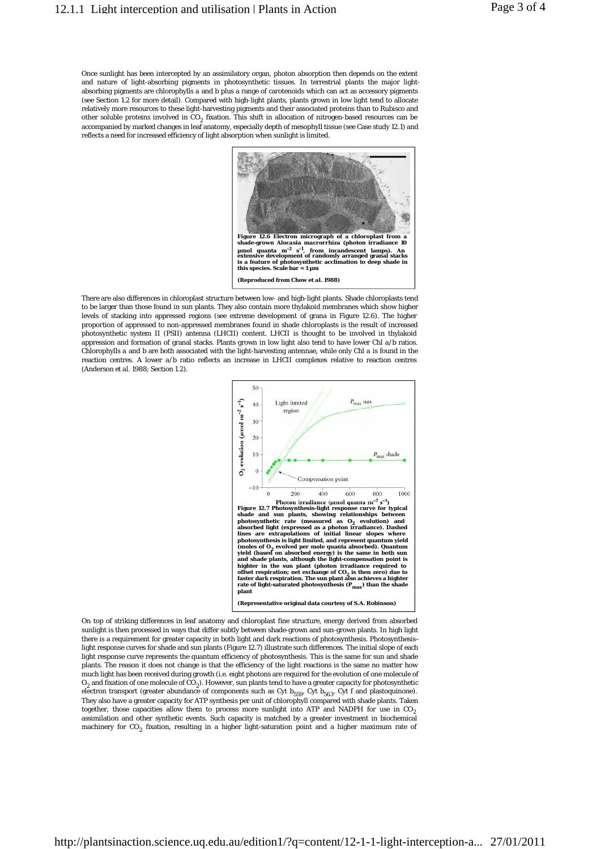Once sunlight has been intercepted by an assimilatory organ, photon absorption then depends on the extent and nature of light-absorbing pigments in photosynthetic tissues. In terrestrial plants the major lightabsorbing pigments are chlorophylls *a* and *b* plus a range of carotenoids which can act as accessory pigments (see Section 1.2 for more detail). Compared with high-light plants, plants grown in low light tend to allocate relatively more resources to these light-harvesting pigments and their associated proteins than to Rubisco and other soluble proteins involved in  $\mathrm{CO}_2$  fixation. This shift in allocation of nitrogen-based resources can be accompanied by marked changes in leaf anatomy, especially depth of mesophyll tissue (see Case study 12.1) and reflects a need for increased efficiency of light absorption when sunlight is limited.



There are also differences in chloroplast structure between low- and high-light plants. Shade chloroplasts tend to be larger than those found in sun plants. They also contain more thylakoid membranes which show higher levels of stacking into appressed regions (see extreme development of grana in Figure 12.6). The higher proportion of appressed to non-appressed membranes found in shade chloroplasts is the result of increased photosynthetic system II (PSII) antenna (LHCII) content. LHCII is thought to be involved in thylakoid appression and formation of granal stacks. Plants grown in low light also tend to have lower Chl *a*/*b* ratios. Chlorophylls *a* and *b* are both associated with the light-harvesting antennae, while only Chl *a* is found in the reaction centres. A lower *a*/*b* ratio reflects an increase in LHCII complexes relative to reaction centres (Anderson *et al*. 1988; Section 1.2).



On top of striking differences in leaf anatomy and chloroplast fine structure, energy derived from absorbed sunlight is then processed in ways that differ subtly between shade-grown and sun-grown plants. In high light there is a requirement for greater capacity in both light and dark reactions of photosynthesis. Photosynthesis– light response curves for shade and sun plants (Figure 12.7) illustrate such differences. The initial slope of each light response curve represents the quantum efficiency of photosynthesis. This is the same for sun and shade plants. The reason it does not change is that the efficiency of the light reactions is the same no matter how much light has been received during growth (i.e. eight photons are required for the evolution of one molecule of O2 and fixation of one molecule of CO2). However, sun plants tend to have a greater capacity for photosynthetic electron transport (greater abundance of components such as Cyt  $b_{559}$ , Cyt  $b_{563}$ , Cyt *f* and plastoquinone). They also have a greater capacity for ATP synthesis per unit of chlorophyll compared with shade plants. Taken together, those capacities allow them to process more sunlight into ATP and NADPH for use in  $CO<sub>2</sub>$ assimilation and other synthetic events. Such capacity is matched by a greater investment in biochemical machinery for CO<sub>2</sub> fixation, resulting in a higher light-saturation point and a higher maximum rate of